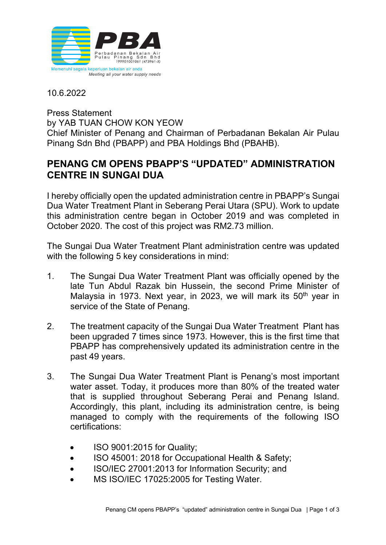

10.6.2022

Press Statement by YAB TUAN CHOW KON YEOW Chief Minister of Penang and Chairman of Perbadanan Bekalan Air Pulau Pinang Sdn Bhd (PBAPP) and PBA Holdings Bhd (PBAHB).

## **PENANG CM OPENS PBAPP'S "UPDATED" ADMINISTRATION CENTRE IN SUNGAI DUA**

I hereby officially open the updated administration centre in PBAPP's Sungai Dua Water Treatment Plant in Seberang Perai Utara (SPU). Work to update this administration centre began in October 2019 and was completed in October 2020. The cost of this project was RM2.73 million.

The Sungai Dua Water Treatment Plant administration centre was updated with the following 5 key considerations in mind:

- 1. The Sungai Dua Water Treatment Plant was officially opened by the late Tun Abdul Razak bin Hussein, the second Prime Minister of Malaysia in 1973. Next year, in 2023, we will mark its 50<sup>th</sup> vear in service of the State of Penang.
- 2. The treatment capacity of the Sungai Dua Water Treatment Plant has been upgraded 7 times since 1973. However, this is the first time that PBAPP has comprehensively updated its administration centre in the past 49 years.
- 3. The Sungai Dua Water Treatment Plant is Penang's most important water asset. Today, it produces more than 80% of the treated water that is supplied throughout Seberang Perai and Penang Island. Accordingly, this plant, including its administration centre, is being managed to comply with the requirements of the following ISO certifications:
	- ISO 9001:2015 for Quality;
	- ISO 45001: 2018 for Occupational Health & Safety;
	- ISO/IEC 27001:2013 for Information Security; and
	- MS ISO/IEC 17025:2005 for Testing Water.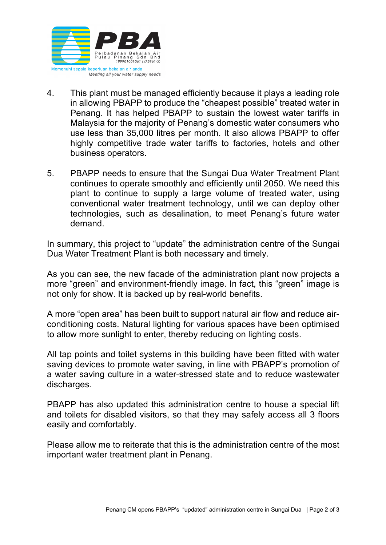

- 4. This plant must be managed efficiently because it plays a leading role in allowing PBAPP to produce the "cheapest possible" treated water in Penang. It has helped PBAPP to sustain the lowest water tariffs in Malaysia for the majority of Penang's domestic water consumers who use less than 35,000 litres per month. It also allows PBAPP to offer highly competitive trade water tariffs to factories, hotels and other business operators.
- 5. PBAPP needs to ensure that the Sungai Dua Water Treatment Plant continues to operate smoothly and efficiently until 2050. We need this plant to continue to supply a large volume of treated water, using conventional water treatment technology, until we can deploy other technologies, such as desalination, to meet Penang's future water demand.

In summary, this project to "update" the administration centre of the Sungai Dua Water Treatment Plant is both necessary and timely.

As you can see, the new facade of the administration plant now projects a more "green" and environment-friendly image. In fact, this "green" image is not only for show. It is backed up by real-world benefits.

A more "open area" has been built to support natural air flow and reduce airconditioning costs. Natural lighting for various spaces have been optimised to allow more sunlight to enter, thereby reducing on lighting costs.

All tap points and toilet systems in this building have been fitted with water saving devices to promote water saving, in line with PBAPP's promotion of a water saving culture in a water-stressed state and to reduce wastewater discharges.

PBAPP has also updated this administration centre to house a special lift and toilets for disabled visitors, so that they may safely access all 3 floors easily and comfortably.

Please allow me to reiterate that this is the administration centre of the most important water treatment plant in Penang.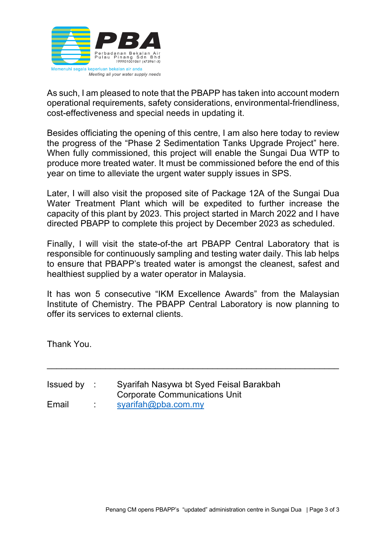

As such, I am pleased to note that the PBAPP has taken into account modern operational requirements, safety considerations, environmental-friendliness, cost-effectiveness and special needs in updating it.

Besides officiating the opening of this centre, I am also here today to review the progress of the "Phase 2 Sedimentation Tanks Upgrade Project" here. When fully commissioned, this project will enable the Sungai Dua WTP to produce more treated water. It must be commissioned before the end of this year on time to alleviate the urgent water supply issues in SPS.

Later, I will also visit the proposed site of Package 12A of the Sungai Dua Water Treatment Plant which will be expedited to further increase the capacity of this plant by 2023. This project started in March 2022 and I have directed PBAPP to complete this project by December 2023 as scheduled.

Finally, I will visit the state-of-the art PBAPP Central Laboratory that is responsible for continuously sampling and testing water daily. This lab helps to ensure that PBAPP's treated water is amongst the cleanest, safest and healthiest supplied by a water operator in Malaysia.

It has won 5 consecutive "IKM Excellence Awards" from the Malaysian Institute of Chemistry. The PBAPP Central Laboratory is now planning to offer its services to external clients.

\_\_\_\_\_\_\_\_\_\_\_\_\_\_\_\_\_\_\_\_\_\_\_\_\_\_\_\_\_\_\_\_\_\_\_\_\_\_\_\_\_\_\_\_\_\_\_\_\_\_\_\_\_\_\_\_\_\_\_\_

Thank You.

| Issued by : | Syarifah Nasywa bt Syed Feisal Barakbah |
|-------------|-----------------------------------------|
|             | Corporate Communications Unit           |
| Email       | syarifah@pba.com.my                     |